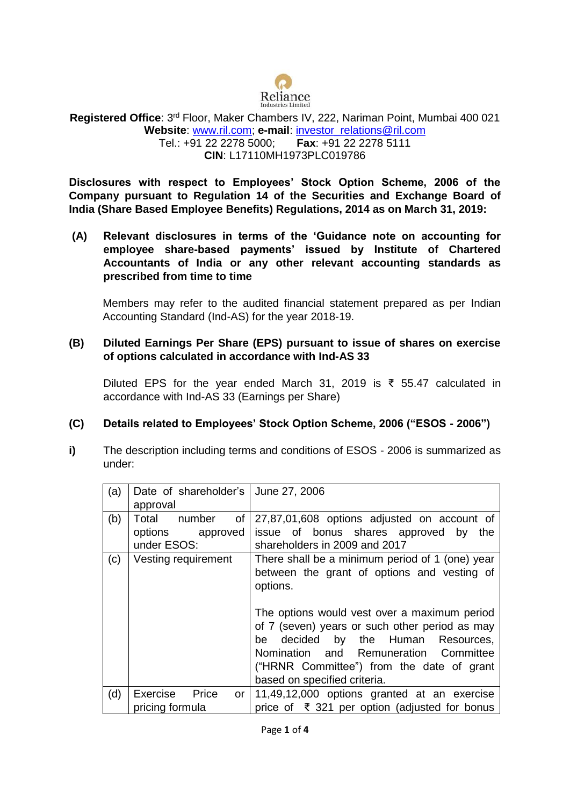

#### **Registered Office**: 3rd Floor, Maker Chambers IV, 222, Nariman Point, Mumbai 400 021 **Website**: [www.ril.com;](http://www.ril.com/) **e-mail**: [investor\\_relations@ril.com](mailto:investor_relations@ril.com) Tel.: +91 22 2278 5000; **Fax**: +91 22 2278 5111 **CIN**: L17110MH1973PLC019786

**Disclosures with respect to Employees' Stock Option Scheme, 2006 of the Company pursuant to Regulation 14 of the Securities and Exchange Board of India (Share Based Employee Benefits) Regulations, 2014 as on March 31, 2019:**

**(A) Relevant disclosures in terms of the 'Guidance note on accounting for employee share-based payments' issued by Institute of Chartered Accountants of India or any other relevant accounting standards as prescribed from time to time**

Members may refer to the audited financial statement prepared as per Indian Accounting Standard (Ind-AS) for the year 2018-19.

### **(B) Diluted Earnings Per Share (EPS) pursuant to issue of shares on exercise of options calculated in accordance with Ind-AS 33**

Diluted EPS for the year ended March 31, 2019 is ₹ 55.47 calculated in accordance with Ind-AS 33 (Earnings per Share)

#### **(C) Details related to Employees' Stock Option Scheme, 2006 ("ESOS - 2006")**

**i)** The description including terms and conditions of ESOS - 2006 is summarized as under:

| (a) | Date of shareholder's   June 27, 2006 |                                                 |  |
|-----|---------------------------------------|-------------------------------------------------|--|
|     | approval                              |                                                 |  |
| (b) | of<br>Total<br>number                 | 27,87,01,608 options adjusted on account of     |  |
|     | options<br>approved                   | issue of bonus shares approved by<br>the        |  |
|     | under ESOS:                           | shareholders in 2009 and 2017                   |  |
| (c) | Vesting requirement                   | There shall be a minimum period of 1 (one) year |  |
|     |                                       | between the grant of options and vesting of     |  |
|     |                                       | options.                                        |  |
|     |                                       |                                                 |  |
|     |                                       | The options would vest over a maximum period    |  |
|     |                                       | of 7 (seven) years or such other period as may  |  |
|     |                                       | decided by the Human Resources,<br>be           |  |
|     |                                       | Nomination and Remuneration Committee           |  |
|     |                                       | ("HRNR Committee") from the date of grant       |  |
|     |                                       | based on specified criteria.                    |  |
| (d) | Price<br>Exercise<br><b>or</b>        | 11,49,12,000 options granted at an exercise     |  |
|     | pricing formula                       | price of ₹ 321 per option (adjusted for bonus   |  |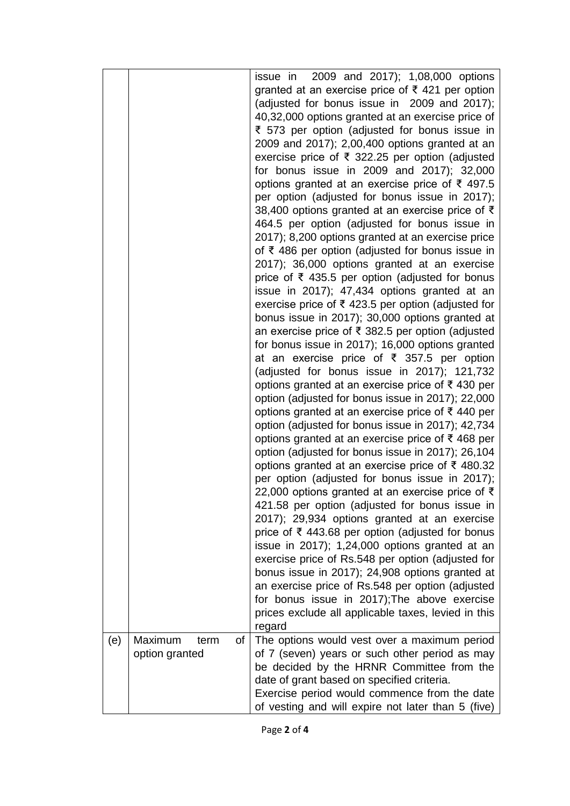|     | Maximum                      | issue in 2009 and 2017); 1,08,000 options<br>granted at an exercise price of ₹ 421 per option<br>(adjusted for bonus issue in 2009 and 2017);<br>40,32,000 options granted at an exercise price of<br>₹ 573 per option (adjusted for bonus issue in<br>2009 and 2017); 2,00,400 options granted at an<br>exercise price of ₹ 322.25 per option (adjusted<br>for bonus issue in 2009 and 2017); 32,000<br>options granted at an exercise price of ₹ 497.5<br>per option (adjusted for bonus issue in 2017);<br>38,400 options granted at an exercise price of ₹<br>464.5 per option (adjusted for bonus issue in<br>2017); 8,200 options granted at an exercise price<br>of ₹ 486 per option (adjusted for bonus issue in<br>2017); 36,000 options granted at an exercise<br>price of ₹ 435.5 per option (adjusted for bonus<br>issue in 2017); 47,434 options granted at an<br>exercise price of ₹423.5 per option (adjusted for<br>bonus issue in 2017); 30,000 options granted at<br>an exercise price of ₹ 382.5 per option (adjusted<br>for bonus issue in 2017); 16,000 options granted<br>at an exercise price of ₹ 357.5 per option<br>(adjusted for bonus issue in 2017); 121,732<br>options granted at an exercise price of ₹430 per<br>option (adjusted for bonus issue in 2017); 22,000<br>options granted at an exercise price of ₹440 per<br>option (adjusted for bonus issue in 2017); 42,734<br>options granted at an exercise price of ₹468 per<br>option (adjusted for bonus issue in 2017); 26,104<br>options granted at an exercise price of ₹480.32<br>per option (adjusted for bonus issue in 2017);<br>22,000 options granted at an exercise price of $\bar{\tau}$<br>421.58 per option (adjusted for bonus issue in<br>2017); 29,934 options granted at an exercise<br>price of ₹ 443.68 per option (adjusted for bonus<br>issue in 2017); 1,24,000 options granted at an<br>exercise price of Rs.548 per option (adjusted for<br>bonus issue in 2017); 24,908 options granted at<br>an exercise price of Rs.548 per option (adjusted<br>for bonus issue in 2017); The above exercise<br>prices exclude all applicable taxes, levied in this<br>regard |
|-----|------------------------------|-------------------------------------------------------------------------------------------------------------------------------------------------------------------------------------------------------------------------------------------------------------------------------------------------------------------------------------------------------------------------------------------------------------------------------------------------------------------------------------------------------------------------------------------------------------------------------------------------------------------------------------------------------------------------------------------------------------------------------------------------------------------------------------------------------------------------------------------------------------------------------------------------------------------------------------------------------------------------------------------------------------------------------------------------------------------------------------------------------------------------------------------------------------------------------------------------------------------------------------------------------------------------------------------------------------------------------------------------------------------------------------------------------------------------------------------------------------------------------------------------------------------------------------------------------------------------------------------------------------------------------------------------------------------------------------------------------------------------------------------------------------------------------------------------------------------------------------------------------------------------------------------------------------------------------------------------------------------------------------------------------------------------------------------------------------------------------------------------------------------------------------------------------------------------------|
| (e) | οf<br>term<br>option granted | The options would vest over a maximum period<br>of 7 (seven) years or such other period as may<br>be decided by the HRNR Committee from the<br>date of grant based on specified criteria.<br>Exercise period would commence from the date<br>of vesting and will expire not later than 5 (five)                                                                                                                                                                                                                                                                                                                                                                                                                                                                                                                                                                                                                                                                                                                                                                                                                                                                                                                                                                                                                                                                                                                                                                                                                                                                                                                                                                                                                                                                                                                                                                                                                                                                                                                                                                                                                                                                               |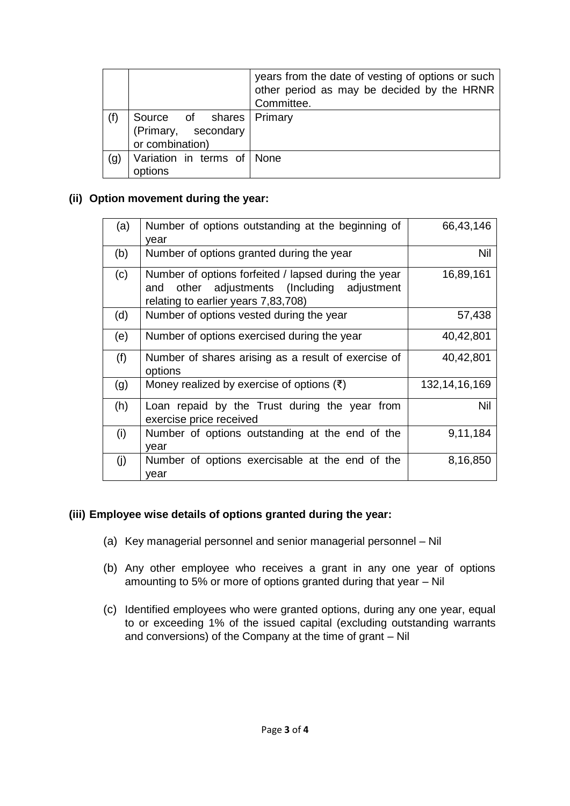|     |                                                                      | years from the date of vesting of options or such<br>other period as may be decided by the HRNR<br>Committee. |
|-----|----------------------------------------------------------------------|---------------------------------------------------------------------------------------------------------------|
| (f) | Source of shares   Primary<br>(Primary, secondary<br>or combination) |                                                                                                               |
| (g) | Variation in terms of None<br>options                                |                                                                                                               |

## **(ii) Option movement during the year:**

| (a) | Number of options outstanding at the beginning of<br>vear                                                                                     | 66,43,146        |
|-----|-----------------------------------------------------------------------------------------------------------------------------------------------|------------------|
| (b) | Number of options granted during the year                                                                                                     | Nil              |
| (c) | Number of options forfeited / lapsed during the year<br>other adjustments (Including adjustment<br>and<br>relating to earlier years 7,83,708) | 16,89,161        |
| (d) | Number of options vested during the year                                                                                                      | 57,438           |
| (e) | Number of options exercised during the year                                                                                                   | 40,42,801        |
| (f) | Number of shares arising as a result of exercise of<br>options                                                                                | 40,42,801        |
| (g) | Money realized by exercise of options $(\bar{\tau})$                                                                                          | 132, 14, 16, 169 |
| (h) | Loan repaid by the Trust during the year from<br>exercise price received                                                                      | Nil              |
| (i) | Number of options outstanding at the end of the<br>vear                                                                                       | 9,11,184         |
| (j) | Number of options exercisable at the end of the<br>vear                                                                                       | 8,16,850         |

# **(iii) Employee wise details of options granted during the year:**

- (a) Key managerial personnel and senior managerial personnel Nil
- (b) Any other employee who receives a grant in any one year of options amounting to 5% or more of options granted during that year – Nil
- (c) Identified employees who were granted options, during any one year, equal to or exceeding 1% of the issued capital (excluding outstanding warrants and conversions) of the Company at the time of grant – Nil